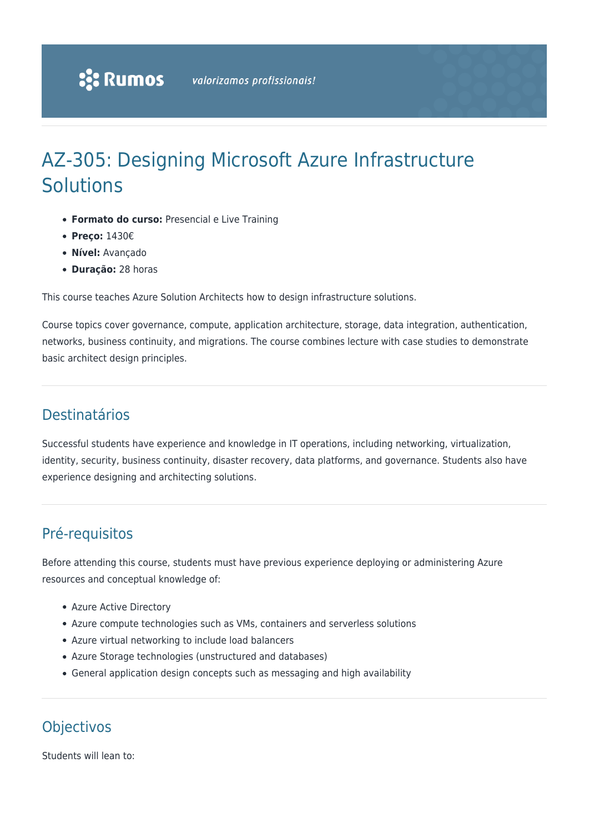# AZ-305: Designing Microsoft Azure Infrastructure **Solutions**

- **Formato do curso:** Presencial e Live Training
- **Preço:** 1430€
- **Nível:** Avançado
- **Duração:** 28 horas

This course teaches Azure Solution Architects how to design infrastructure solutions.

Course topics cover governance, compute, application architecture, storage, data integration, authentication, networks, business continuity, and migrations. The course combines lecture with case studies to demonstrate basic architect design principles.

## Destinatários

Successful students have experience and knowledge in IT operations, including networking, virtualization, identity, security, business continuity, disaster recovery, data platforms, and governance. Students also have experience designing and architecting solutions.

# Pré-requisitos

Before attending this course, students must have previous experience deploying or administering Azure resources and conceptual knowledge of:

- Azure Active Directory
- Azure compute technologies such as VMs, containers and serverless solutions
- Azure virtual networking to include load balancers
- Azure Storage technologies (unstructured and databases)
- General application design concepts such as messaging and high availability

# **Objectivos**

Students will lean to: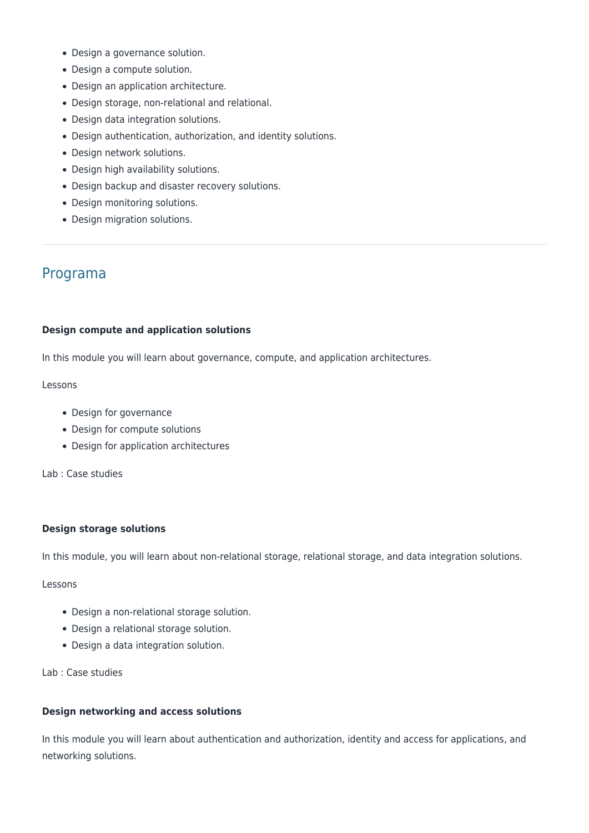- Design a governance solution.
- Design a compute solution.
- Design an application architecture.
- Design storage, non-relational and relational.
- Design data integration solutions.
- Design authentication, authorization, and identity solutions.
- Design network solutions.
- Design high availability solutions.
- Design backup and disaster recovery solutions.
- Design monitoring solutions.
- Design migration solutions.

### Programa

#### **Design compute and application solutions**

In this module you will learn about governance, compute, and application architectures.

#### Lessons

- Design for governance
- Design for compute solutions
- Design for application architectures

Lab : Case studies

#### **Design storage solutions**

In this module, you will learn about non-relational storage, relational storage, and data integration solutions.

Lessons

- Design a non-relational storage solution.
- Design a relational storage solution.
- Design a data integration solution.

#### Lab : Case studies

#### **Design networking and access solutions**

In this module you will learn about authentication and authorization, identity and access for applications, and networking solutions.